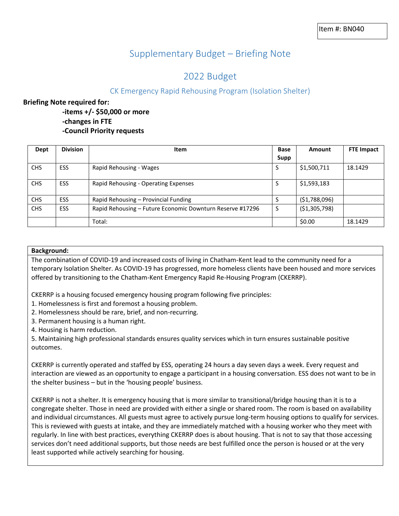# Supplementary Budget – Briefing Note

## 2022 Budget

## CK Emergency Rapid Rehousing Program (Isolation Shelter)

## **Briefing Note required for:**

- **-items +/- \$50,000 or more -changes in FTE**
- **-Council Priority requests**

| Dept       | <b>Division</b> | Item                                                      | Base<br>Supp | Amount         | <b>FTE Impact</b> |
|------------|-----------------|-----------------------------------------------------------|--------------|----------------|-------------------|
| <b>CHS</b> | <b>ESS</b>      | Rapid Rehousing - Wages                                   | S            | \$1,500,711    | 18.1429           |
| <b>CHS</b> | <b>ESS</b>      | Rapid Rehousing - Operating Expenses                      | S            | \$1,593,183    |                   |
| <b>CHS</b> | <b>ESS</b>      | Rapid Rehousing - Provincial Funding                      | S            | (51,788,096)   |                   |
| <b>CHS</b> | <b>ESS</b>      | Rapid Rehousing - Future Economic Downturn Reserve #17296 | S            | ( \$1,305,798) |                   |
|            |                 | Total:                                                    |              | \$0.00         | 18.1429           |

### **Background:**

The combination of COVID-19 and increased costs of living in Chatham-Kent lead to the community need for a temporary Isolation Shelter. As COVID-19 has progressed, more homeless clients have been housed and more services offered by transitioning to the Chatham-Kent Emergency Rapid Re-Housing Program (CKERRP).

CKERRP is a housing focused emergency housing program following five principles:

1. Homelessness is first and foremost a housing problem.

2. Homelessness should be rare, brief, and non-recurring.

3. Permanent housing is a human right.

4. Housing is harm reduction.

5. Maintaining high professional standards ensures quality services which in turn ensures sustainable positive outcomes.

CKERRP is currently operated and staffed by ESS, operating 24 hours a day seven days a week. Every request and interaction are viewed as an opportunity to engage a participant in a housing conversation. ESS does not want to be in the shelter business – but in the 'housing people' business.

CKERRP is not a shelter. It is emergency housing that is more similar to transitional/bridge housing than it is to a congregate shelter. Those in need are provided with either a single or shared room. The room is based on availability and individual circumstances. All guests must agree to actively pursue long-term housing options to qualify for services. This is reviewed with guests at intake, and they are immediately matched with a housing worker who they meet with regularly. In line with best practices, everything CKERRP does is about housing. That is not to say that those accessing services don't need additional supports, but those needs are best fulfilled once the person is housed or at the very least supported while actively searching for housing.